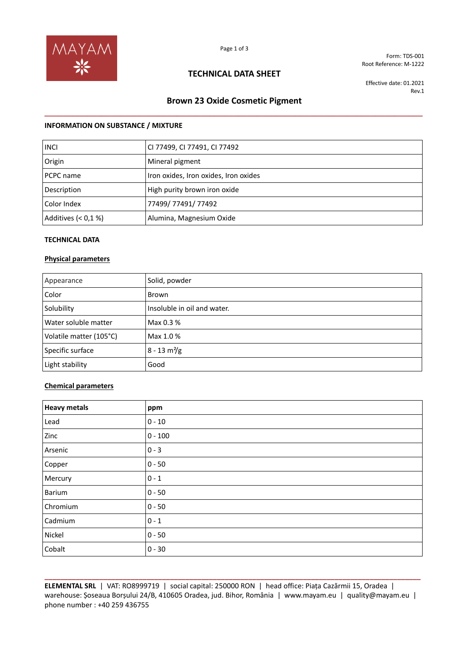

Form: TDS-001 Root Reference: M-1222

## **TECHNICAL DATA SHEET**

Effective date: 01.2021 Rev.1

# **Brown 23 Oxide Cosmetic Pigment \_\_\_\_\_\_\_\_\_\_\_\_\_\_\_\_\_\_\_\_\_\_\_\_\_\_\_\_\_\_\_\_\_\_\_\_\_\_\_\_\_\_\_\_\_\_\_\_\_\_\_\_\_\_\_\_\_\_\_\_\_\_\_\_\_\_\_\_\_\_\_\_\_\_\_\_\_\_\_\_**

### **INFORMATION ON SUBSTANCE / MIXTURE**

| <b>INCI</b>         | CI 77499, CI 77491, CI 77492          |
|---------------------|---------------------------------------|
| Origin              | Mineral pigment                       |
| PCPC name           | Iron oxides, Iron oxides, Iron oxides |
| Description         | High purity brown iron oxide          |
| Color Index         | 77499/ 77491/ 77492                   |
| Additives $(0.1 %)$ | Alumina, Magnesium Oxide              |

### **TECHNICAL DATA**

#### **Physical parameters**

| Appearance              | Solid, powder                 |
|-------------------------|-------------------------------|
| Color                   | Brown                         |
| Solubility              | Insoluble in oil and water.   |
| Water soluble matter    | Max 0.3 %                     |
| Volatile matter (105°C) | Max 1.0 %                     |
| Specific surface        | $8 - 13 \text{ m}^2\text{/g}$ |
| Light stability         | Good                          |

### **Chemical parameters**

| <b>Heavy metals</b> | ppm       |
|---------------------|-----------|
| Lead                | $0 - 10$  |
| Zinc                | $0 - 100$ |
| Arsenic             | $0 - 3$   |
| Copper              | $0 - 50$  |
| Mercury             | $0 - 1$   |
| Barium              | $0 - 50$  |
| Chromium            | $0 - 50$  |
| Cadmium             | $0 - 1$   |
| Nickel              | $0 - 50$  |
| Cobalt              | $0 - 30$  |

**\_\_\_\_\_\_\_\_\_\_\_\_\_\_\_\_\_\_\_\_\_\_\_\_\_\_\_\_\_\_\_\_\_\_\_\_\_\_\_\_\_\_\_\_\_\_\_\_\_\_\_\_\_\_\_\_\_\_\_\_\_\_\_\_\_\_\_\_\_\_\_\_\_\_\_\_\_\_\_\_\_\_\_\_\_\_\_\_\_\_\_\_\_\_\_\_ ELEMENTAL SRL** | VAT: RO8999719 | social capital: 250000 RON | head office: Piața Cazărmii 15, Oradea | warehouse: Șoseaua Borșului 24/B, 410605 Oradea, jud. Bihor, România | www.mayam.eu | quality@mayam.eu | phone number : +40 259 436755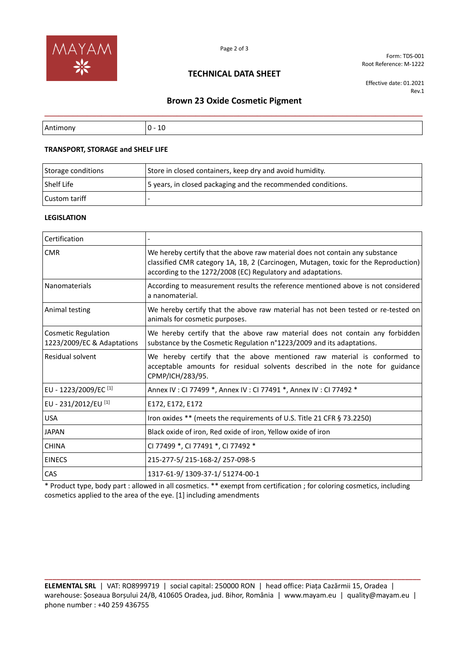

Form: TDS-001 Root Reference: M-1222

## **TECHNICAL DATA SHEET**

Effective date: 01.2021 Rev.1

# **Brown 23 Oxide Cosmetic Pigment \_\_\_\_\_\_\_\_\_\_\_\_\_\_\_\_\_\_\_\_\_\_\_\_\_\_\_\_\_\_\_\_\_\_\_\_\_\_\_\_\_\_\_\_\_\_\_\_\_\_\_\_\_\_\_\_\_\_\_\_\_\_\_\_\_\_\_\_\_\_\_\_\_\_\_\_\_\_\_\_**

| r<br>v<br>. . |
|---------------|

### **TRANSPORT, STORAGE and SHELF LIFE**

| Storage conditions | Store in closed containers, keep dry and avoid humidity.     |
|--------------------|--------------------------------------------------------------|
| Shelf Life         | 5 years, in closed packaging and the recommended conditions. |
| Custom tariff      |                                                              |

### **LEGISLATION**

| Certification                                            |                                                                                                                                                                                                                                    |
|----------------------------------------------------------|------------------------------------------------------------------------------------------------------------------------------------------------------------------------------------------------------------------------------------|
| <b>CMR</b>                                               | We hereby certify that the above raw material does not contain any substance<br>classified CMR category 1A, 1B, 2 (Carcinogen, Mutagen, toxic for the Reproduction)<br>according to the 1272/2008 (EC) Regulatory and adaptations. |
| <b>Nanomaterials</b>                                     | According to measurement results the reference mentioned above is not considered<br>a nanomaterial.                                                                                                                                |
| Animal testing                                           | We hereby certify that the above raw material has not been tested or re-tested on<br>animals for cosmetic purposes.                                                                                                                |
| <b>Cosmetic Regulation</b><br>1223/2009/EC & Adaptations | We hereby certify that the above raw material does not contain any forbidden<br>substance by the Cosmetic Regulation n°1223/2009 and its adaptations.                                                                              |
| Residual solvent                                         | We hereby certify that the above mentioned raw material is conformed to<br>acceptable amounts for residual solvents described in the note for guidance<br>CPMP/ICH/283/95.                                                         |
| EU - 1223/2009/EC <sup>[1]</sup>                         | Annex IV : CI 77499 *, Annex IV : CI 77491 *, Annex IV : CI 77492 *                                                                                                                                                                |
| EU - 231/2012/EU [1]                                     | E172, E172, E172                                                                                                                                                                                                                   |
| <b>USA</b>                                               | Iron oxides ** (meets the requirements of U.S. Title 21 CFR § 73.2250)                                                                                                                                                             |
| <b>JAPAN</b>                                             | Black oxide of iron, Red oxide of iron, Yellow oxide of iron                                                                                                                                                                       |
| <b>CHINA</b>                                             | CI 77499 *, CI 77491 *, CI 77492 *                                                                                                                                                                                                 |
| <b>EINECS</b>                                            | 215-277-5/215-168-2/257-098-5                                                                                                                                                                                                      |
| CAS                                                      | 1317-61-9/1309-37-1/51274-00-1                                                                                                                                                                                                     |

\* Product type, body part : allowed in all cosmetics. \*\* exempt from certification ; for coloring cosmetics, including cosmetics applied to the area of the eye. [1] including amendments

**ELEMENTAL SRL** | VAT: RO8999719 | social capital: 250000 RON | head office: Piața Cazărmii 15, Oradea | warehouse: Șoseaua Borșului 24/B, 410605 Oradea, jud. Bihor, România | www.mayam.eu | quality@mayam.eu | phone number : +40 259 436755

**\_\_\_\_\_\_\_\_\_\_\_\_\_\_\_\_\_\_\_\_\_\_\_\_\_\_\_\_\_\_\_\_\_\_\_\_\_\_\_\_\_\_\_\_\_\_\_\_\_\_\_\_\_\_\_\_\_\_\_\_\_\_\_\_\_\_\_\_\_\_\_\_\_\_\_\_\_\_\_\_\_\_\_\_\_\_\_\_\_\_\_\_\_\_\_\_**